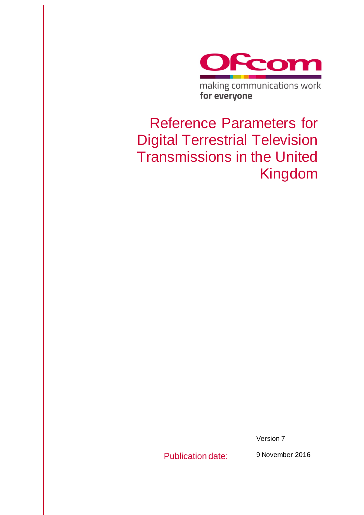

Reference Parameters for Digital Terrestrial Television Transmissions in the United Kingdom

for everyone

Version 7

Publication date: 9 November 2016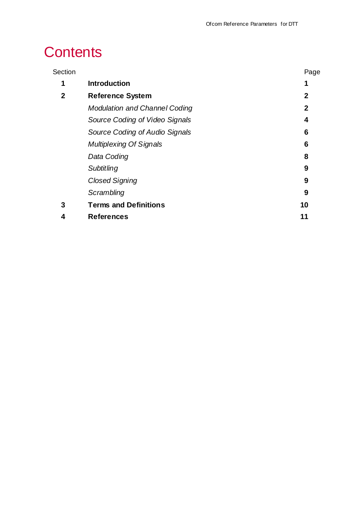# **Contents**

| Section     |                                      | Page         |
|-------------|--------------------------------------|--------------|
| 1           | <b>Introduction</b>                  | 1            |
| $\mathbf 2$ | <b>Reference System</b>              | $\mathbf 2$  |
|             | <b>Modulation and Channel Coding</b> | $\mathbf{2}$ |
|             | Source Coding of Video Signals       | 4            |
|             | Source Coding of Audio Signals       | 6            |
|             | <b>Multiplexing Of Signals</b>       | 6            |
|             | Data Coding                          | 8            |
|             | Subtitling                           | 9            |
|             | <b>Closed Signing</b>                | 9            |
|             | Scrambling                           | 9            |
| 3           | <b>Terms and Definitions</b>         | 10           |
| 4           | <b>References</b>                    | 11           |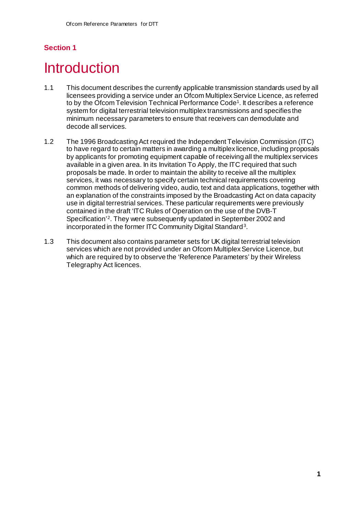# <span id="page-3-0"></span>**Introduction**

- 1.1 This document describes the currently applicable transmission standards used by all licensees providing a service under an Ofcom Multiplex Service Licence, as referred to by the Ofcom Television Technical Performance Code[1](#page-12-1). It describes a reference system for digital terrestrial television multiplex transmissions and specifies the minimum necessary parameters to ensure that receivers can demodulate and decode all services.
- 1.2 The 1996 Broadcasting Act required the Independent Television Commission (ITC) to have regard to certain matters in awarding a multiplex licence, including proposals by applicants for promoting equipment capable of receiving all the multiplex services available in a given area. In its Invitation To Apply, the ITC required that such proposals be made. In order to maintain the ability to receive all the multiplex services, it was necessary to specify certain technical requirements covering common methods of delivering video, audio, text and data applications, together with an explanation of the constraints imposed by the Broadcasting Act on data capacity use in digital terrestrial services. These particular requirements were previously contained in the draft 'ITC Rules of Operation on the use of the DVB-T Specification'[2](#page-12-2). They were subsequently updated in September 2002 and incorporated in the former ITC Community Digital Standard[3](#page-12-3).
- 1.3 This document also contains parameter sets for UK digital terrestrial television services which are not provided under an Ofcom Multiplex Service Licence, but which are required by to observe the 'Reference Parameters' by their Wireless Telegraphy Act licences.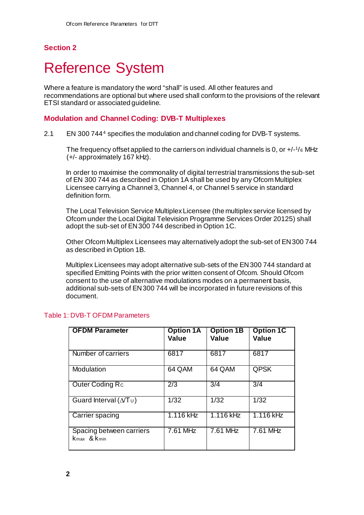# <span id="page-4-0"></span>**Reference System**

Where a feature is mandatory the word "shall" is used. All other features and recommendations are optional but where used shall conform to the provisions of the relevant ETSI standard or associated guideline.

#### <span id="page-4-1"></span>**Modulation and Channel Coding: DVB-T Multiplexes**

2.1 EN 300 744[4](#page-12-4) specifies the modulation and channel coding for DVB-T systems.

The frequency offset applied to the carriers on individual channels is 0, or +/-1/6 MHz (+/- approximately 167 kHz).

In order to maximise the commonality of digital terrestrial transmissions the sub-set of EN 300 744 as described in Option 1A shall be used by any Ofcom Multiplex Licensee carrying a Channel 3, Channel 4, or Channel 5 service in standard definition form.

The Local Television Service Multiplex Licensee (the multiplex service licensed by Ofcom under the Local Digital Television Programme Services Order 2012[5](#page-12-5)) shall adopt the sub-set of EN 300 744 described in Option 1C.

Other Ofcom Multiplex Licensees may alternatively adopt the sub-set of EN 300 744 as described in Option 1B.

Multiplex Licensees may adopt alternative sub-sets of the EN 300 744 standard at specified Emitting Points with the prior written consent of Ofcom. Should Ofcom consent to the use of alternative modulations modes on a permanent basis, additional sub-sets of EN 300 744 will be incorporated in future revisions of this document.

| <b>OFDM Parameter</b>                   | <b>Option 1A</b><br><b>Value</b> | <b>Option 1B</b><br><b>Value</b> | <b>Option 1C</b><br><b>Value</b> |
|-----------------------------------------|----------------------------------|----------------------------------|----------------------------------|
| Number of carriers                      | 6817                             | 6817                             | 6817                             |
| Modulation                              | 64 QAM                           | 64 QAM                           | <b>QPSK</b>                      |
| Outer Coding Rc                         | $\sqrt{2/3}$                     | 3/4                              | 3/4                              |
| Guard Interval ( $\Delta/T$ u)          | 1/32                             | 1/32                             | 1/32                             |
| Carrier spacing                         | $1.116$ kHz                      | 1.116 kHz                        | 1.116 kHz                        |
| Spacing between carriers<br>Kmax & Kmin | 7.61 MHz                         | 7.61 MHz                         | 7.61 MHz                         |

## Table 1: DVB-T OFDM Parameters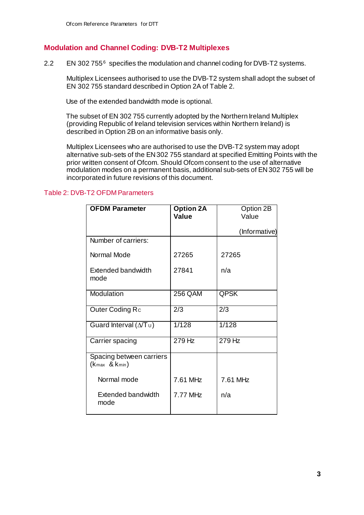### **Modulation and Channel Coding: DVB-T2 Multiplexes**

2.2 EN 302 755[6](#page-12-6) specifies the modulation and channel coding for DVB-T2 systems.

Multiplex Licensees authorised to use the DVB-T2 system shall adopt the subset of EN 302 755 standard described in Option 2A of Table 2.

Use of the extended bandwidth mode is optional.

The subset of EN 302 755 currently adopted by the Northern Ireland Multiplex (providing Republic of Ireland television services within Northern Ireland) is described in Option 2B on an informative basis only.

Multiplex Licensees who are authorised to use the DVB-T2 system may adopt alternative sub-sets of the EN 302 755 standard at specified Emitting Points with the prior written consent of Ofcom. Should Ofcom consent to the use of alternative modulation modes on a permanent basis, additional sub-sets of EN 302 755 will be incorporated in future revisions of this document.

#### Table 2: DVB-T2 OFDM Parameters

| <b>OFDM Parameter</b>                               | <b>Option 2A</b><br><b>Value</b> | Option 2B<br>Value |
|-----------------------------------------------------|----------------------------------|--------------------|
|                                                     |                                  | (Informative)      |
| Number of carriers:                                 |                                  |                    |
| Normal Mode                                         | 27265                            | 27265              |
| <b>Extended bandwidth</b><br>mode                   | 27841                            | n/a                |
| Modulation                                          | 256 QAM                          | QPSK               |
| Outer Coding Rc                                     | 2/3                              | 2/3                |
| Guard Interval ( $\Delta T_U$ )                     | 1/128                            | 1/128              |
| Carrier spacing                                     | $279$ Hz                         | $279$ Hz           |
| Spacing between carriers<br>$(k_{max}$ & $k_{min})$ |                                  |                    |
| Normal mode                                         | 7.61 MHz                         | 7.61 MHz           |
| Extended bandwidth<br>mode                          | 7.77 MHz                         | n/a                |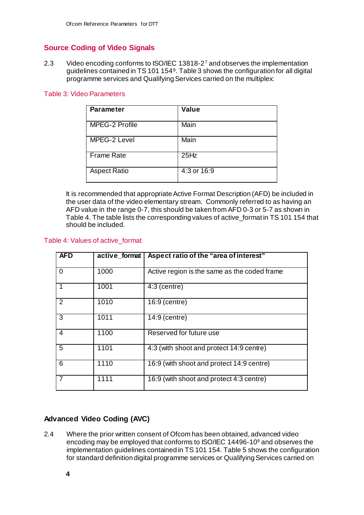# <span id="page-6-0"></span>**Source Coding of Video Signals**

2.3 Video encoding conforms to ISO/IEC 13818-2<sup>[7](#page-12-7)</sup> and observes the implementation guidelines contained in TS 101 154[8](#page-12-8). Table 3 shows the configuration for all digital programme services and Qualifying Services carried on the multiplex:

#### Table 3: Video Parameters

| <b>Parameter</b>    | <b>Value</b> |
|---------------------|--------------|
| MPEG-2 Profile      | Main         |
| MPEG-2 Level        | Main         |
| <b>Frame Rate</b>   | 25Hz         |
| <b>Aspect Ratio</b> | 4:3 or 16:9  |

It is recommended that appropriate Active Format Description (AFD) be included in the user data of the video elementary stream. Commonly referred to as having an AFD value in the range 0-7, this should be taken from AFD 0-3 or 5-7 as shown in Table 4. The table lists the corresponding values of active\_format in TS 101 154 that should be included.

#### Table 4: Values of active\_format

| <b>AFD</b>     | active format | Aspect ratio of the "area of interest"       |
|----------------|---------------|----------------------------------------------|
| $\overline{0}$ | 1000          | Active region is the same as the coded frame |
|                | 1001          | $4:3$ (centre)                               |
| 2              | 1010          | 16:9 (centre)                                |
| $\overline{3}$ | 1011          | 14:9 (centre)                                |
| 4              | 1100          | Reserved for future use                      |
| 5              | 1101          | 4:3 (with shoot and protect 14:9 centre)     |
| $\overline{6}$ | 1110          | 16:9 (with shoot and protect 14:9 centre)    |
| $\overline{7}$ | 1111          | 16:9 (with shoot and protect 4:3 centre)     |

# **Advanced Video Coding (AVC)**

2.4 Where the prior written consent of Ofcom has been obtained, advanced video encoding may be employed that conforms to ISO/IEC 14496-10[9](#page-12-9) and observes the implementation guidelines contained in TS 101 154. Table 5 shows the configuration for standard definition digital programme services or Qualifying Services carried on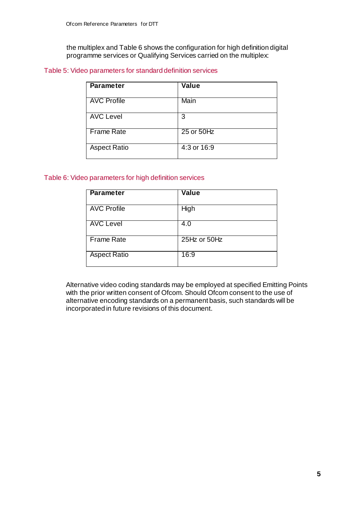the multiplex and Table 6 shows the configuration for high definition digital programme services or Qualifying Services carried on the multiplex:

#### Table 5: Video parameters for standard definition services

| Parameter           | <b>Value</b> |
|---------------------|--------------|
| <b>AVC Profile</b>  | Main         |
| <b>AVC Level</b>    | 3            |
| Frame Rate          | 25 or 50Hz   |
| <b>Aspect Ratio</b> | 4:3 or 16:9  |

#### Table 6: Video parameters for high definition services

| <b>Parameter</b>    | <b>Value</b> |
|---------------------|--------------|
| <b>AVC Profile</b>  | High         |
| <b>AVC Level</b>    | 4.0          |
| <b>Frame Rate</b>   | 25Hz or 50Hz |
| <b>Aspect Ratio</b> | 16:9         |

Alternative video coding standards may be employed at specified Emitting Points with the prior written consent of Ofcom. Should Ofcom consent to the use of alternative encoding standards on a permanent basis, such standards will be incorporated in future revisions of this document.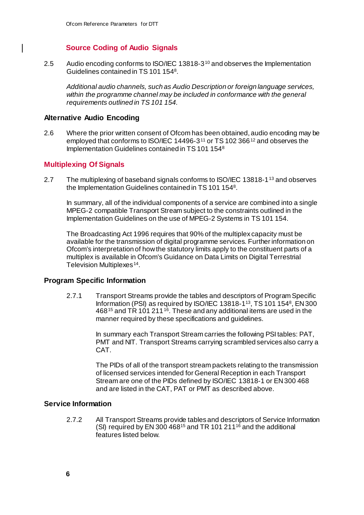## **Source Coding of Audio Signals**

<span id="page-8-0"></span>2.5 Audio encoding conforms to ISO/IEC 13818-3[10](#page-12-10) and observes the Implementation Guidelines contained in TS 101 1548.

*Additional audio channels, such as Audio Description or foreign language services,*  within the programme channel may be included in conformance with the general *requirements outlined in TS 101 154.*

## **Alternative Audio Encoding**

 $\mathsf{l}$ 

2.6 Where the prior written consent of Ofcom has been obtained, audio encoding may be employed that conforms to ISO/IEC 14496-3[11](#page-12-11) or TS 102 366[12](#page-12-12) and observes the Implementation Guidelines contained in TS 101 1548

## <span id="page-8-1"></span>**Multiplexing Of Signals**

2.7 The multiplexing of baseband signals conforms to ISO/IEC [13](#page-12-13)818-1<sup>13</sup> and observes the Implementation Guidelines contained in TS 101 1548.

In summary, all of the individual components of a service are combined into a single MPEG-2 compatible Transport Stream subject to the constraints outlined in the Implementation Guidelines on the use of MPEG-2 Systems in TS 101 154.

The Broadcasting Act 1996 requires that 90% of the multiplex capacity must be available for the transmission of digital programme services. Further information on Ofcom's interpretation of how the statutory limits apply to the constituent parts of a multiplex is available in Ofcom's Guidance on Data Limits on Digital Terrestrial Television Multiplexes<sup>[14](#page-12-14)</sup>.

#### **Program Specific Information**

2.7.1 Transport Streams provide the tables and descriptors of Program Specific Information (PSI) as required by ISO/IEC 13818-113, TS 101 1548, EN 300 468<sup>[15](#page-12-15)</sup> and TR 101 211<sup>[16](#page-12-16)</sup>. These and any additional items are used in the manner required by these specifications and guidelines.

> In summary each Transport Stream carries the following PSI tables: PAT, PMT and NIT. Transport Streams carrying scrambled services also carry a CAT.

> The PIDs of all of the transport stream packets relating to the transmission of licensed services intended for General Reception in each Transport Stream are one of the PIDs defined by ISO/IEC 13818-1 or EN 300 468 and are listed in the CAT, PAT or PMT as described above.

#### **Service Information**

2.7.2 All Transport Streams provide tables and descriptors of Service Information (SI) required by EN 300 468<sup>15</sup> and TR 101 211<sup>16</sup> and the additional features listed below.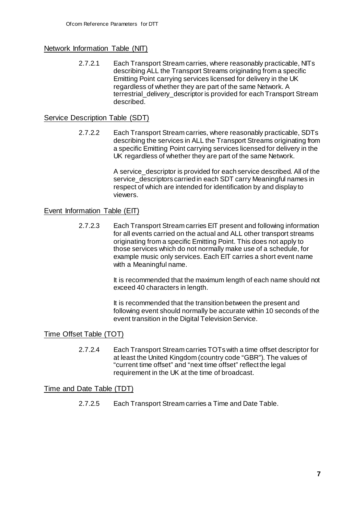## Network Information Table (NIT)

2.7.2.1 Each Transport Stream carries, where reasonably practicable, NITs describing ALL the Transport Streams originating from a specific Emitting Point carrying services licensed for delivery in the UK regardless of whether they are part of the same Network. A terrestrial\_delivery\_descriptor is provided for each Transport Stream described.

## Service Description Table (SDT)

2.7.2.2 Each Transport Stream carries, where reasonably practicable, SDTs describing the services in ALL the Transport Streams originating from a specific Emitting Point carrying services licensed for delivery in the UK regardless of whether they are part of the same Network.

> A service descriptor is provided for each service described. All of the service descriptors carried in each SDT carry Meaningful names in respect of which are intended for identification by and display to viewers.

#### Event Information Table (EIT)

2.7.2.3 Each Transport Stream carries EIT present and following information for all events carried on the actual and ALL other transport streams originating from a specific Emitting Point. This does not apply to those services which do not normally make use of a schedule, for example music only services. Each EIT carries a short event name with a Meaningful name.

> It is recommended that the maximum length of each name should not exceed 40 characters in length.

> It is recommended that the transition between the present and following event should normally be accurate within 10 seconds of the event transition in the Digital Television Service.

## Time Offset Table (TOT)

2.7.2.4 Each Transport Stream carries TOTs with a time offset descriptor for at least the United Kingdom (country code "GBR"). The values of "current time offset" and "next time offset" reflect the legal requirement in the UK at the time of broadcast.

#### Time and Date Table (TDT)

2.7.2.5 Each Transport Stream carries a Time and Date Table.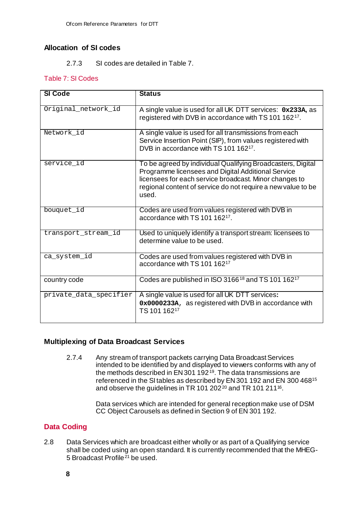## **Allocation of SI codes**

#### 2.7.3 SI codes are detailed in Table 7.

### Table 7: SI Codes

| <b>SI Code</b>         | <b>Status</b>                                                                                                                                                                                                                                        |
|------------------------|------------------------------------------------------------------------------------------------------------------------------------------------------------------------------------------------------------------------------------------------------|
|                        |                                                                                                                                                                                                                                                      |
| Original_network_id    | A single value is used for all UK DTT services: 0x233A, as<br>registered with DVB in accordance with TS 101 162 <sup>17</sup> .                                                                                                                      |
| Network_id             | A single value is used for all transmissions from each<br>Service Insertion Point (SIP), from values registered with<br>DVB in accordance with TS 101 162 <sup>17</sup> .                                                                            |
| service_id             | To be agreed by individual Qualifying Broadcasters, Digital<br>Programme licensees and Digital Additional Service<br>licensees for each service broadcast. Minor changes to<br>regional content of service do not require a new value to be<br>used. |
| bouquet_id             | Codes are used from values registered with DVB in<br>accordance with TS 101 16217.                                                                                                                                                                   |
| transport_stream_id    | Used to uniquely identify a transport stream: licensees to<br>determine value to be used.                                                                                                                                                            |
| ca_system_id           | Codes are used from values registered with DVB in<br>accordance with TS 101 162 <sup>17</sup>                                                                                                                                                        |
| country code           | Codes are published in ISO 3166 <sup>18</sup> and TS 101 162 <sup>17</sup>                                                                                                                                                                           |
| private_data_specifier | A single value is used for all UK DTT services:<br>0x0000233A, as registered with DVB in accordance with<br>TS 101 16217                                                                                                                             |

## **Multiplexing of Data Broadcast Services**

2.7.4 Any stream of transport packets carrying Data Broadcast Services intended to be identified by and displayed to viewers conforms with any of the methods described in  $EN 301 192<sup>19</sup>$  $EN 301 192<sup>19</sup>$  $EN 301 192<sup>19</sup>$ . The data transmissions are referenced in the SI tables as described by EN 301 192 and EN 300 46815 and observe the guidelines in TR 101 [20](#page-12-20)2<sup>20</sup> and TR 101 211<sup>16</sup>.

> Data services which are intended for general reception make use of DSM CC Object Carousels as defined in Section 9 of EN 301 192.

# <span id="page-10-0"></span>**Data Coding**

<span id="page-10-1"></span>2.8 Data Services which are broadcast either wholly or as part of a Qualifying service shall be coded using an open standard. It is currently recommended that the MHEG-5 Broadcast Profile<sup> $21$ </sup> be used.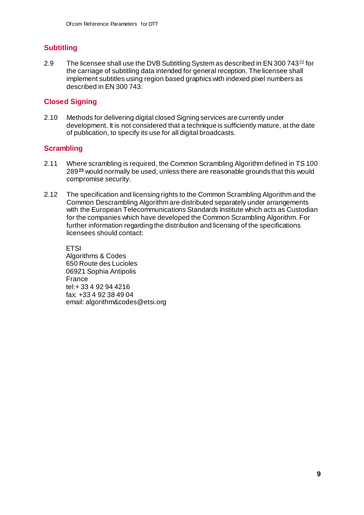# **Subtitling**

2.9 The licensee shall use the DVB Subtitling System as described in EN 300 743<sup>[22](#page-12-22)</sup> for the carriage of subtitling data intended for general reception. The licensee shall implement subtitles using region based graphics with indexed pixel numbers as described in EN 300 743.

## <span id="page-11-0"></span>**Closed Signing**

2.10 Methods for delivering digital closed Signing services are currently under development. It is not considered that a technique is sufficiently mature, at the date of publication, to specify its use for all digital broadcasts.

## <span id="page-11-1"></span>**Scrambling**

- 2.11 Where scrambling is required, the Common Scrambling Algorithm defined in TS 100 289**[23](#page-12-23)** would normally be used, unless there are reasonable grounds that this would compromise security.
- 2.12 The specification and licensing rights to the Common Scrambling Algorithm and the Common Descrambling Algorithm are distributed separately under arrangements with the European Telecommunications Standards Institute which acts as Custodian for the companies which have developed the Common Scrambling Algorithm. For further information regarding the distribution and licensing of the specifications licensees should contact:

**ETSI** Algorithms & Codes 650 Route des Lucioles 06921 Sophia Antipolis France tel:+ 33 4 92 94 4216 fax: +33 4 92 38 49 04 email: algorithm&codes@etsi.org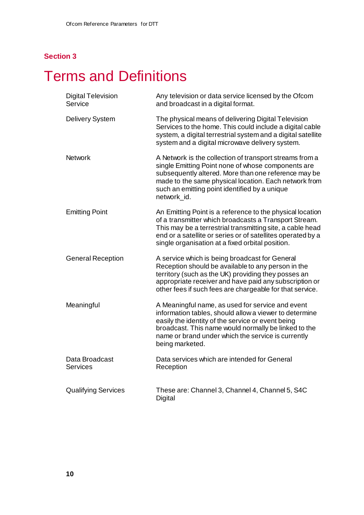# <span id="page-12-2"></span><span id="page-12-1"></span><span id="page-12-0"></span>**Terms and Definitions**

<span id="page-12-23"></span><span id="page-12-22"></span><span id="page-12-21"></span><span id="page-12-20"></span><span id="page-12-19"></span><span id="page-12-18"></span><span id="page-12-17"></span><span id="page-12-16"></span><span id="page-12-15"></span><span id="page-12-14"></span><span id="page-12-13"></span><span id="page-12-12"></span><span id="page-12-11"></span><span id="page-12-10"></span><span id="page-12-9"></span><span id="page-12-8"></span><span id="page-12-7"></span><span id="page-12-6"></span><span id="page-12-5"></span><span id="page-12-4"></span><span id="page-12-3"></span>

| <b>Digital Television</b><br>Service | Any television or data service licensed by the Ofcom<br>and broadcast in a digital format.                                                                                                                                                                                                         |
|--------------------------------------|----------------------------------------------------------------------------------------------------------------------------------------------------------------------------------------------------------------------------------------------------------------------------------------------------|
| <b>Delivery System</b>               | The physical means of delivering Digital Television<br>Services to the home. This could include a digital cable<br>system, a digital terrestrial system and a digital satellite<br>system and a digital microwave delivery system.                                                                 |
| <b>Network</b>                       | A Network is the collection of transport streams from a<br>single Emitting Point none of whose components are<br>subsequently altered. More than one reference may be<br>made to the same physical location. Each network from<br>such an emitting point identified by a unique<br>network id.     |
| <b>Emitting Point</b>                | An Emitting Point is a reference to the physical location<br>of a transmitter which broadcasts a Transport Stream.<br>This may be a terrestrial transmitting site, a cable head<br>end or a satellite or series or of satellites operated by a<br>single organisation at a fixed orbital position. |
| <b>General Reception</b>             | A service which is being broadcast for General<br>Reception should be available to any person in the<br>territory (such as the UK) providing they posses an<br>appropriate receiver and have paid any subscription or<br>other fees if such fees are chargeable for that service.                  |
| Meaningful                           | A Meaningful name, as used for service and event<br>information tables, should allow a viewer to determine<br>easily the identity of the service or event being<br>broadcast. This name would normally be linked to the<br>name or brand under which the service is currently<br>being marketed.   |
| Data Broadcast<br><b>Services</b>    | Data services which are intended for General<br>Reception                                                                                                                                                                                                                                          |
| <b>Qualifying Services</b>           | These are: Channel 3, Channel 4, Channel 5, S4C<br>Digital                                                                                                                                                                                                                                         |